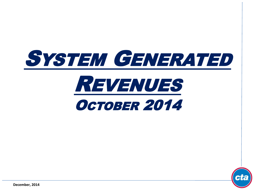





**December, 2014**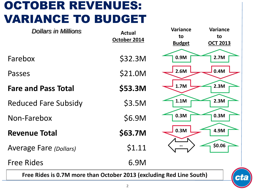# OCTOBER REVENUES: VARIANCE TO BUDGET

| <b>Dollars in Millions</b>                                                 | <b>Actual</b><br>October 2014 | <b>Variance</b><br>to<br><b>Budget</b> | <b>Variance</b><br>to<br><b>OCT 2013</b> |
|----------------------------------------------------------------------------|-------------------------------|----------------------------------------|------------------------------------------|
| Farebox                                                                    | \$32.3M                       | 0.9M                                   | 2.7M                                     |
| Passes                                                                     | \$21.0M                       | 2.6M                                   | 0.4M                                     |
| <b>Fare and Pass Total</b>                                                 | \$53.3M                       | 1.7M                                   | 2.3M                                     |
| <b>Reduced Fare Subsidy</b>                                                | \$3.5M                        | 1.1M                                   | 2.3M                                     |
| Non-Farebox                                                                | \$6.9M                        | 0.3M                                   | 0.3M                                     |
| <b>Revenue Total</b>                                                       | \$63.7M                       | 0.3M                                   | 4.9M                                     |
| <b>Average Fare (Dollars)</b>                                              | \$1.11                        |                                        | \$0.06                                   |
| <b>Free Rides</b>                                                          | 6.9M                          |                                        |                                          |
| Free Rides is 0.7M more than October 2013 (excluding Red Line South)<br>CL |                               |                                        |                                          |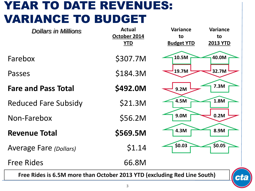## YEAR TO DATE REVENUES: VARIANCE TO BUDGET

| <b>Dollars in Millions</b>                                               | <b>Actual</b><br>October 2014<br><b>YTD</b> | Variance<br>to<br><b>Budget YTD</b> | Variance<br>to<br><b>2013 YTD</b> |
|--------------------------------------------------------------------------|---------------------------------------------|-------------------------------------|-----------------------------------|
| Farebox                                                                  | \$307.7M                                    | 10.5M                               | 40.0M                             |
| Passes                                                                   | \$184.3M                                    | 19.7M                               | 32.7M                             |
| <b>Fare and Pass Total</b>                                               | \$492.0M                                    | 9.2M                                | 7.3M                              |
| <b>Reduced Fare Subsidy</b>                                              | \$21.3M                                     | 4.5M                                | 1.8M                              |
| Non-Farebox                                                              | \$56.2M                                     | 9.0M                                | 0.2M                              |
| <b>Revenue Total</b>                                                     | \$569.5M                                    | 4.3M                                | 8.9M                              |
| <b>Average Fare (Dollars)</b>                                            | \$1.14                                      | \$0.03                              | \$0.05                            |
| <b>Free Rides</b>                                                        | 66.8M                                       |                                     |                                   |
| Free Rides is 6.5M more than October 2013 YTD (excluding Red Line South) |                                             |                                     | Ci                                |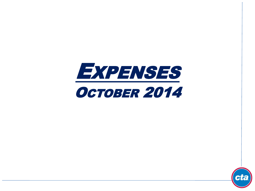

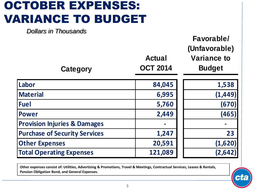# OCTOBER EXPENSES: VARIANCE TO BUDGET

| <b>Dollars in Thousands</b><br>Category | <b>Actual</b><br><b>OCT 2014</b> | Favorable/<br>(Unfavorable)<br><b>Variance to</b><br><b>Budget</b> |
|-----------------------------------------|----------------------------------|--------------------------------------------------------------------|
| Labor                                   | 84,045                           | 1,538                                                              |
| <b>Material</b>                         | 6,995                            | (1, 449)                                                           |
| <b>Fuel</b>                             | 5,760                            | (670)                                                              |
| <b>Power</b>                            | 2,449                            | (465)                                                              |
| <b>Provision Injuries &amp; Damages</b> |                                  |                                                                    |
| <b>Purchase of Security Services</b>    | 1,247                            | 23                                                                 |
| <b>Other Expenses</b>                   | 20,591                           | (1,620)                                                            |
| <b>Total Operating Expenses</b>         | 121,089                          | (2, 642)                                                           |

**Other expenses consist of: Utilities, Advertising & Promotions, Travel & Meetings, Contractual Services, Leases & Rentals, Pension Obligation Bond, and General Expenses.**

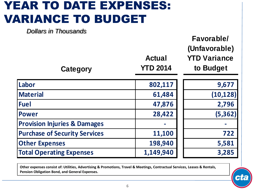## YEAR TO DATE EXPENSES: VARIANCE TO BUDGET

| <b>Dollars in Thousands</b><br>Category | <b>Actual</b><br><b>YTD 2014</b> | Favorable/<br>(Unfavorable)<br><b>YTD Variance</b><br>to Budget |
|-----------------------------------------|----------------------------------|-----------------------------------------------------------------|
| Labor                                   | 802,117                          | 9,677                                                           |
| <b>Material</b>                         | 61,484                           | (10, 128)                                                       |
| <b>Fuel</b>                             | 47,876                           | 2,796                                                           |
| <b>Power</b>                            | 28,422                           | (5, 362)                                                        |
| <b>Provision Injuries &amp; Damages</b> |                                  |                                                                 |
| <b>Purchase of Security Services</b>    | 11,100                           | 722                                                             |
| <b>Other Expenses</b>                   | 198,940                          | 5,581                                                           |
| <b>Total Operating Expenses</b>         | 1,149,940                        | 3,285                                                           |

**Other expenses consist of: Utilities, Advertising & Promotions, Travel & Meetings, Contractual Services, Leases & Rentals, Pension Obligation Bond, and General Expenses.**